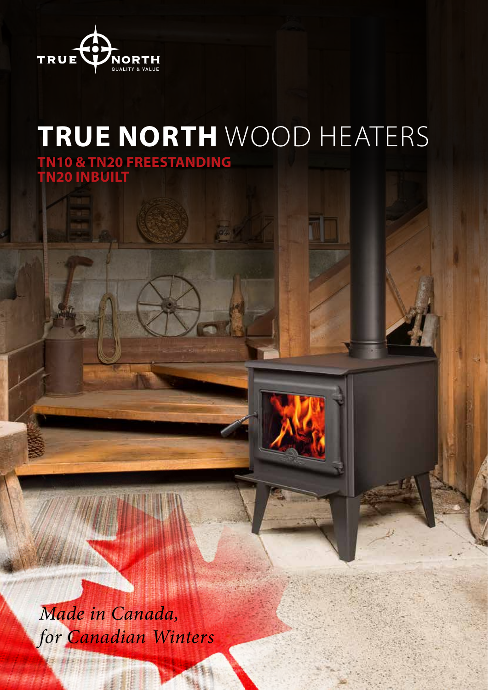

# **TRUE NORTH** WOOD HEATERS

**TN10 & TN20 FREESTANDING TN20 INBUILT**

*Made in Canada, for Canadian Winters*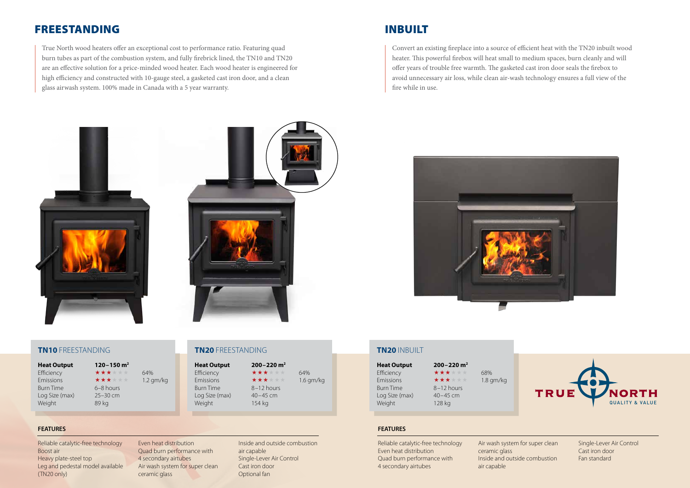Reliable catalytic-free technology Boost air Heavy plate-steel top Leg and pedestal model available (TN20 only)

Even heat distribution Quad burn performance with 4 secondary airtubes Air wash system for super clean ceramic glass

Inside and outside combustion air capable Single-Lever Air Control Cast iron door Optional fan

Reliable catalytic-free technology Even heat distribution Quad burn performance with 4 secondary airtubes

Air wash system for super clean ceramic glass Inside and outside combustion air capable

**Heat Output 200–220 m2** Efficiency  $\star \star \star \star \star \star$  64% Emissions  $\star \star \star \star \star \star$  1.6 gm/kg Burn Time 8-12 hours Log Size (max) 40-45 cm Weight 154 kg

Single-Lever Air Control Cast iron door Fan standard

**Heat Output 120–150 m2** Burn Time 6–8 hours Log Size (max) 25–30 cm Weight 89 kg

Efficiency  $\star \star \star \star \star \star$  64% Emissions  $\star \star \star \star \star \star$  1.2 gm/kg

True North wood heaters offer an exceptional cost to performance ratio. Featuring quad burn tubes as part of the combustion system, and fully firebrick lined, the TN10 and TN20 are an effective solution for a price-minded wood heater. Each wood heater is engineered for high efficiency and constructed with 10-gauge steel, a gasketed cast iron door, and a clean glass airwash system. 100% made in Canada with a 5 year warranty.

> **Heat Output 200–220 m2** Efficiency  $\star \star \star \star \star \star$  68% Emissions  $\star \star \star \star \star \star$  1.8 gm/kg

# FREESTANDING

### **TN10** FREESTANDING **TN20** FREESTANDING

### **FEATURES FEATURES**

Convert an existing fireplace into a source of efficient heat with the TN20 inbuilt wood heater. This powerful firebox will heat small to medium spaces, burn cleanly and will offer years of trouble free warmth. The gasketed cast iron door seals the firebox to avoid unnecessary air loss, while clean air-wash technology ensures a full view of the fire while in use.







# INBUILT

**TN20** INBUILT

Burn Time 8-12 hours Log Size (max) 40-45 cm Weight 128 kg